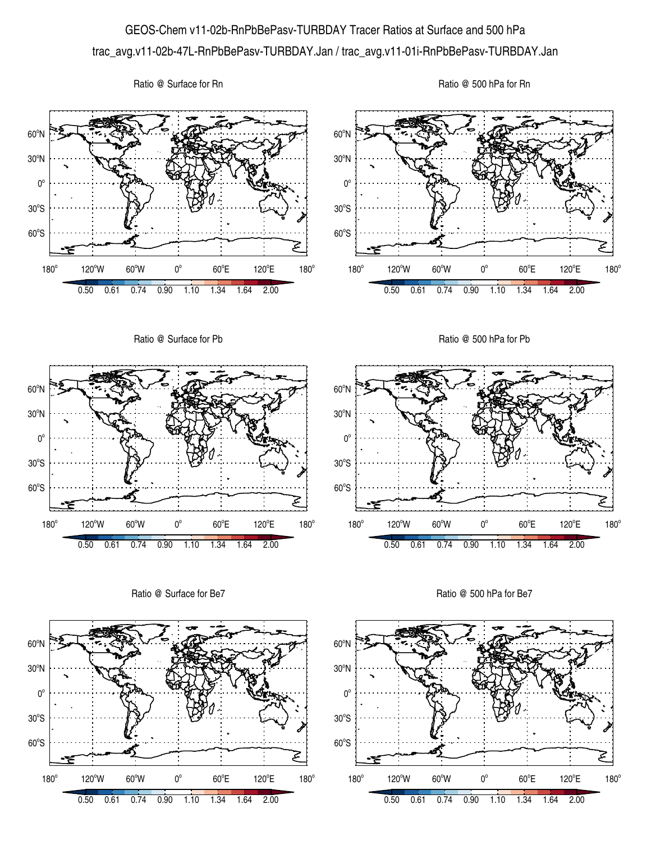## GEOS-Chem v11-02b-RnPbBePasv-TURBDAY Tracer Ratios at Surface and 500 hPa trac\_avg.v11-02b-47L-RnPbBePasv-TURBDAY.Jan / trac\_avg.v11-01i-RnPbBePasv-TURBDAY.Jan

Ratio @ Surface for Rn





Ratio @ Surface for Be7



Ratio @ 500 hPa for Be7